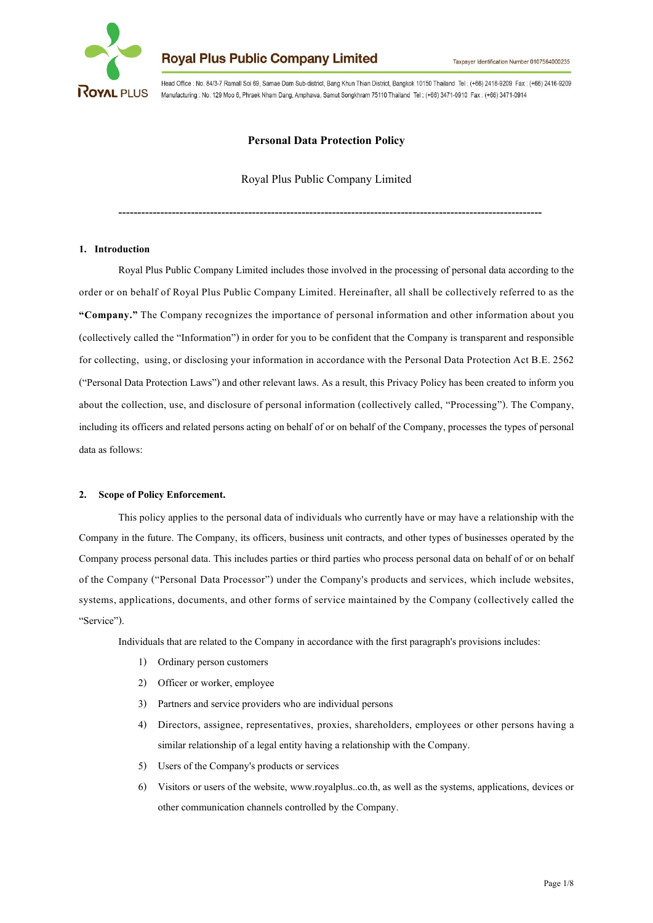

Head Office : No. 84/3-7 Ramall Soi 69, Samae Dam Sub-district, Bang Khun Thian District, Bangkok 10150 Thailand Tel: (+66) 2416-9209 Fax: (+66) 2416-9209 Manufacturing : No. 129 Moo 6, Phraek Nham Dang, Amphawa, Samut Songkhram 75110 Thailand Tel: (+66) 3471-0910 Fax: (+66) 3471-0914

## **Personal Data Protection Policy**

Royal Plus Public Company Limited

---------------------------------------------------------------------------------------------------------------

#### **1. Introduction**

Royal Plus Public Company Limited includes those involved in the processing of personal data according to the order or on behalf of Royal Plus Public Company Limited. Hereinafter, all shall be collectively referred to as the **"Company."** The Company recognizes the importance of personal information and other information about you (collectively called the "Information") in order for you to be confident that the Companyis transparent and responsible for collecting, using, or disclosing your information in accordance with the Personal Data Protection Act B.E. 2562 ("Personal Data Protection Laws") and other relevant laws. As a result, this Privacy Policy has been created to inform you about the collection, use, and disclosure of personal information (collectively called, "Processing"). The Company, including its officers and related persons acting on behalf of or on behalf of the Company, processes the types of personal data as follows:

#### **2. Scopeof Policy Enforcement.**

This policy applies to the personal data of individuals who currentlyhave or may have a relationship with the Company in the future. The Company, its officers, business unit contracts, and other types of businesses operated by the Company process personal data. This includes parties or third parties who process personal data on behalf of or on behalf of the Company ("Personal Data Processor") under the Company's products and services, which include websites, systems, applications, documents, and other forms of service maintained by the Company (collectively called the "Service").

Individuals that are related to the Company in accordance with the first paragraph's provisions includes:

- 1) Ordinary person customers
- 2) Officer or worker, employee
- 3) Partners and service providers who are individual persons
- 4) Directors, assignee, representatives, proxies, shareholders, employees or other persons having a similar relationship of a legal entity having a relationship with the Company.
- 5) Users of the Company's products or services
- 6) Visitors orusers of the website, www.royalplus..co.th, as well as the systems, applications, devices or other communication channels controlled by the Company.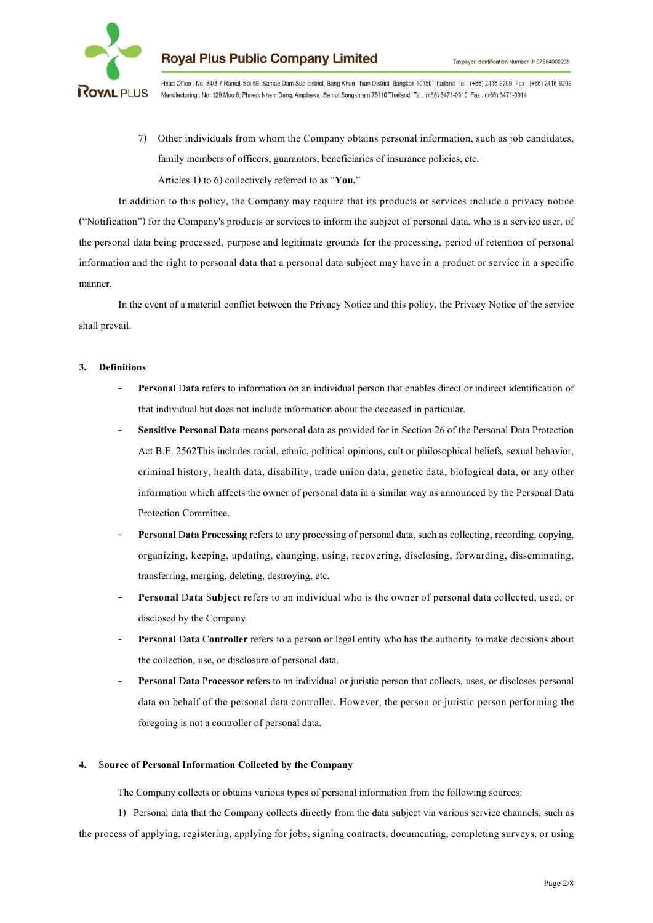

Head Office : No. 84/3-7 Ramall Soi 69, Samae Dam Sub-district, Bang Khun Thian District, Bangkok 10150 Thailand Tel : (+66) 2416-9209 Fax : (+66) 2416-9209 Manufacturing : No. 129 Moo 6, Phraek Nham Dang, Amphawa, Samut Songkhram 75110 Thailand Tel: (+66) 3471-0910 Fax: (+66) 3471-0914

7) Other individuals from whom the Company obtains personal information, such as job candidates, family members of officers, guarantors, beneficiaries of insurance policies, etc. Articles 1) to 6) collectively referred to as "You."

In addition to this policy, the Company may require that its products or services include a privacy notice ("Notification") for the Company's products or services to inform the subject of personal data, who is a service user, of the personal data being processed, purpose and legitimate grounds for the processing, period of retention of personal information and the right to personal data that a personal data subject may have in a product or service in a specific manner.

In the event of a material conflict between the Privacy Notice and this policy, the Privacy Notice of the service shall prevail.

#### **3. Definitions**

- **- Personal** D**ata**refers to information on an individual person that enables direct or indirect identification of that individual but does not include information about the deceased in particular.
- **Sensitive Personal Data** means personal data as provided for in Section 26 of the Personal Data Protection Act B.E. 2562This includes racial, ethnic, political opinions, cult orphilosophical beliefs, sexual behavior, criminal history, health data, disability, trade union data, genetic data, biological data, or any other information which affects the owner of personal data in a similar way as announced by the Personal Data Protection Committee.
- **Personal Data Processing** refers to any processing of personal data, such as collecting, recording, copying, organizing, keeping, updating, changing, using, recovering, disclosing, forwarding, disseminating, transferring, merging, deleting, destroying, etc.
- **- Personal** D**ata** S**ubject** refers to an individual who is the owner of personal data collected, used, or disclosed by the Company.
- **Personal** D**ata** C**ontroller** refers to a person or legal entity who has the authority to make decisions about the collection, use, or disclosure of personal data.
- **Personal Data Processor** refers to an individual or juristic person that collects, uses, or discloses personal data on behalf of the personal data controller. However, the person or juristic person performing the foregoing is not a controller of personal data.

#### **4.** S**ourceof Personal Information Collectedby the Company**

The Company collects or obtains various types of personal information from the following sources:

1) Personal data that the Company collects directly from the data subject via various service channels, such as the process of applying, registering, applying for jobs, signing contracts, documenting, completing surveys, or using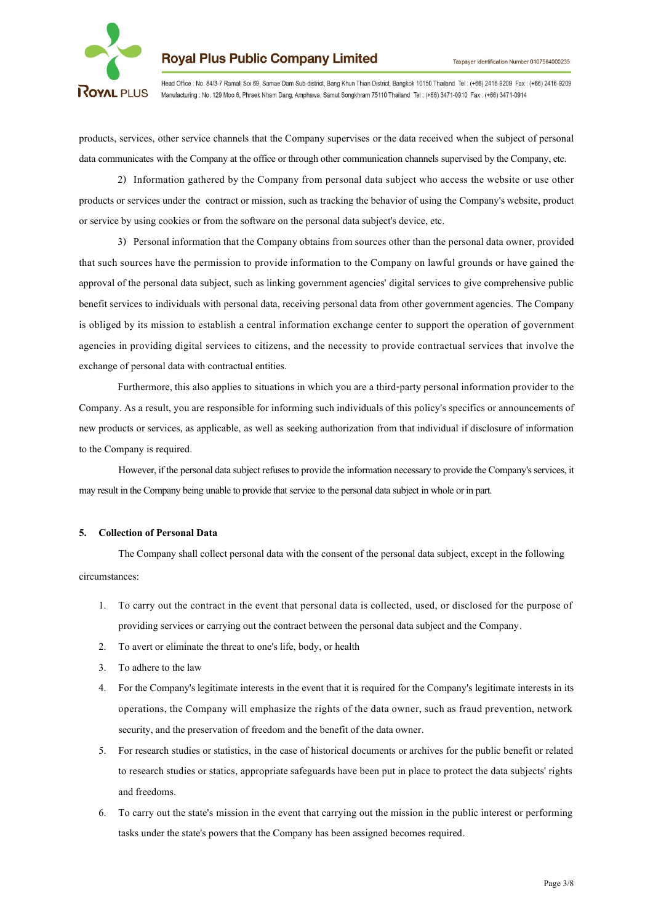

Head Office : No. 84/3-7 Ramall Soi 69, Samae Dam Sub-district, Bang Khun Thian District, Bangkok 10150 Thailand Tel : (+66) 2416-9209 Fax : (+66) 2416-9209 Manufacturing : No. 129 Moo 6, Phraek Nham Dang, Amphawa, Samut Songkhram 75110 Thailand Tel: (+66) 3471-0910 Fax: (+66) 3471-0914

products, services, other service channels that the Company supervises or the data received when the subject of personal data communicates with the Company at the office or through other communication channels supervised by the Company, etc.

2) Information gathered by the Company from personal data subject who access the website or use other products or services under the contract or mission, such as tracking the behavior of using the Company's website, product or service by using cookies or from the software on the personal data subject's device, etc.

3) Personal information that the Company obtains from sources other than the personal data owner, provided that such sources have the permission to provide information to the Company on lawful grounds or have gained the approval of the personal data subject, such as linking government agencies' digital services to give comprehensive public benefit services to individuals with personal data, receiving personal data from other government agencies. The Company is obliged by its mission to establish a central information exchange center to support the operation of government agencies in providing digital services to citizens, and the necessity to provide contractual services that involve the exchange of personal data with contractual entities.

Furthermore, this also applies to situations in which you are a third-party personal information provider to the Company. As a result, you are responsible for informing such individuals of this policy's specifics or announcements of new products or services, as applicable, as well as seeking authorization from that individual if disclosure of information to the Company is required.

However, if the personal data subject refuses to provide the information necessary to provide the Company's services, it may result in the Company being unable to provide that service to the personal data subject in whole or in part.

#### **5. Collectionof Personal Data**

The Company shall collect personal data with the consent of the personal data subject, except in the following circumstances:

- 1. To carry out the contract in the event that personal data is collected, used, or disclosed for the purpose of providing services or carrying out the contract between the personal data subject and the Company.
- 2. To avert or eliminate the threat to one's life, body, or health
- 3. To adhere to the law
- 4. For the Company's legitimate interests in the event that it is required for the Company's legitimate interests in its operations, the Company will emphasize the rights of the data owner, such as fraud prevention, network security, and the preservation of freedom and the benefit of the data owner.
- 5. For research studies or statistics, in the case of historical documents or archives for the public benefit or related to research studies or statics, appropriate safeguards have been put in place to protect the data subjects' rights and freedoms.
- 6. To carry out the state's mission in the event that carrying out the mission in the public interest or performing tasks under the state's powers that the Company has been assigned becomes required.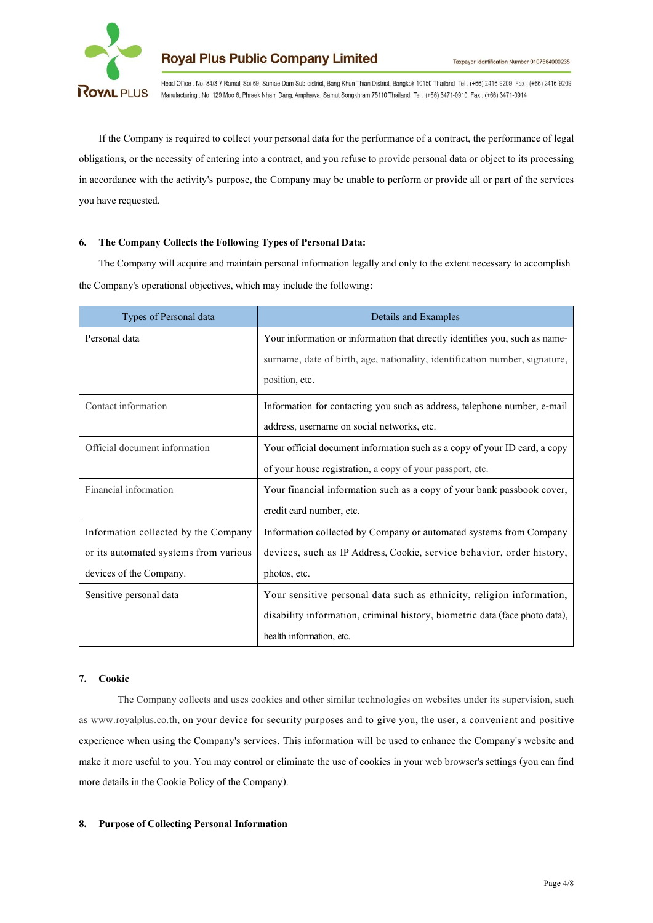

Head Office : No. 84/3-7 Ramall Soi 69, Samae Dam Sub-district, Bang Khun Thian District, Bangkok 10150 Thailand Tel: (+66) 2416-9209 Fax: (+66) 2416-9209 Manufacturing : No. 129 Moo 6, Phraek Nham Dang, Amphawa, Samut Songkhram 75110 Thailand Tel: (+66) 3471-0910 Fax: (+66) 3471-0914

If the Company is required to collect your personal data for the performance of a contract, the performance of legal obligations, or the necessity of entering into a contract, and yourefuse to provide personaldata orobject to its processing in accordance with the activity's purpose, the Company may be unable to perform or provide all or part of the services you have requested.

#### **6. The Company Collects the Following Typesof Personal Data:**

The Company will acquire and maintain personal information legally and only to the extent necessary to accomplish the Company's operational objectives, which may include the following:

| Types of Personal data                | Details and Examples                                                        |
|---------------------------------------|-----------------------------------------------------------------------------|
| Personal data                         | Your information or information that directly identifies you, such as name- |
|                                       | surname, date of birth, age, nationality, identification number, signature, |
|                                       | position, etc.                                                              |
| Contact information                   | Information for contacting you such as address, telephone number, e-mail    |
|                                       | address, username on social networks, etc.                                  |
| Official document information         | Your official document information such as a copy of your ID card, a copy   |
|                                       | of your house registration, a copy of your passport, etc.                   |
| Financial information                 | Your financial information such as a copy of your bank passbook cover,      |
|                                       | credit card number, etc.                                                    |
| Information collected by the Company  | Information collected by Company or automated systems from Company          |
| or its automated systems from various | devices, such as IP Address, Cookie, service behavior, order history,       |
| devices of the Company.               | photos, etc.                                                                |
| Sensitive personal data               | Your sensitive personal data such as ethnicity, religion information,       |
|                                       | disability information, criminal history, biometric data (face photo data), |
|                                       | health information, etc.                                                    |

#### **7. Cookie**

The Company collects and uses cookies and other similar technologies on websites under its supervision, such as www.royalplus.co.th, on your device for security purposes and to give you, the user, a convenient and positive experience when using the Company's services. This information will be used to enhance the Company's website and make it more useful to you. You may control or eliminate the use of cookies in your web browser's settings (you can find more details in the Cookie Policy of the Company).

#### **8. Purposeof Collecting Personal Information**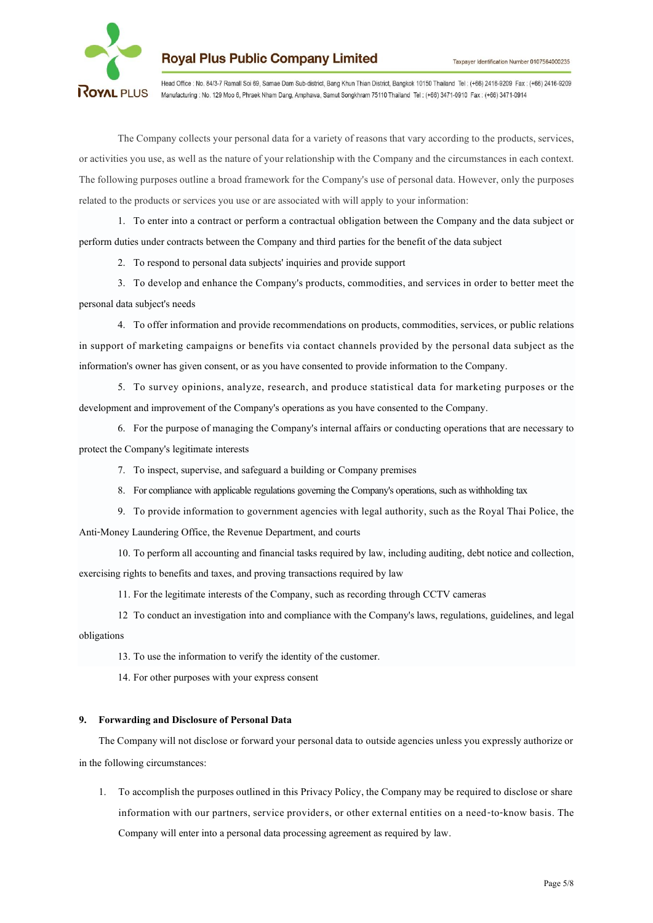

Head Office : No. 84/3-7 Ramall Soi 69, Samae Dam Sub-district, Bang Khun Thian District, Bangkok 10150 Thailand Tel : (+66) 2416-9209 Fax : (+66) 2416-9209 Manufacturing : No. 129 Moo 6, Phraek Nham Dang, Amphawa, Samut Songkhram 75110 Thailand Tel: (+66) 3471-0910 Fax: (+66) 3471-0914

The Company collects your personal data for a variety of reasons that vary according to the products, services, or activitiesyouuse, as well as thenatureofyour relationship with the Companyand the circumstances in each context. The following purposes outline a broad framework for the Company's use of personal data. However, only the purposes related to the products or services you use or are associated with will apply to your information:

1. To enter into a contract or perform a contractual obligation between the Company and the data subject or perform duties under contracts between the Company and third parties for the benefit of the data subject

2. To respond to personal data subjects' inquiries and provide support

3. To develop and enhance the Company's products, commodities, and services in order to better meet the personal data subject's needs

4. To offer information and provide recommendations on products, commodities, services, or public relations in support of marketing campaigns or benefits via contact channels provided by the personal data subject as the information's owner has given consent, or as you have consented to provide information to the Company.

5. To survey opinions, analyze, research, and produce statistical data for marketing purposes or the development and improvement of the Company's operations asyouhave consentedto the Company.

6. For the purpose of managing the Company's internal affairs or conducting operations that are necessary to protect the Company's legitimate interests

- 7. To inspect, supervise, and safeguard a building or Company premises
- 8. For compliance with applicable regulations governing the Company's operations, such as withholding tax
- 9. To provide information to government agencies with legal authority, such as the Royal ThaiPolice, the Anti-Money Laundering Office, the Revenue Department, and courts

10. To perform all accounting and financial tasks required by law, including auditing, debt notice and collection, exercising rights to benefits and taxes, and proving transactions required by law

11. For the legitimate interests of the Company, such as recording through CCTV cameras

12 To conduct an investigation into andcompliance with the Company's laws, regulations, guidelines, and legal obligations

13. To use the information to verify the identity of the customer.

14. For other purposes with your express consent

#### **9. Forwarding and Disclosure of Personal Data**

The Company will not disclose or forward your personal data to outside agencies unless you expressly authorize or in the following circumstances:

1. To accomplish the purposes outlined in this Privacy Policy, the Company may be required to disclose or share information with our partners, service providers, or other external entities on a need-to-know basis. The Company will enter into a personal data processing agreement as required by law.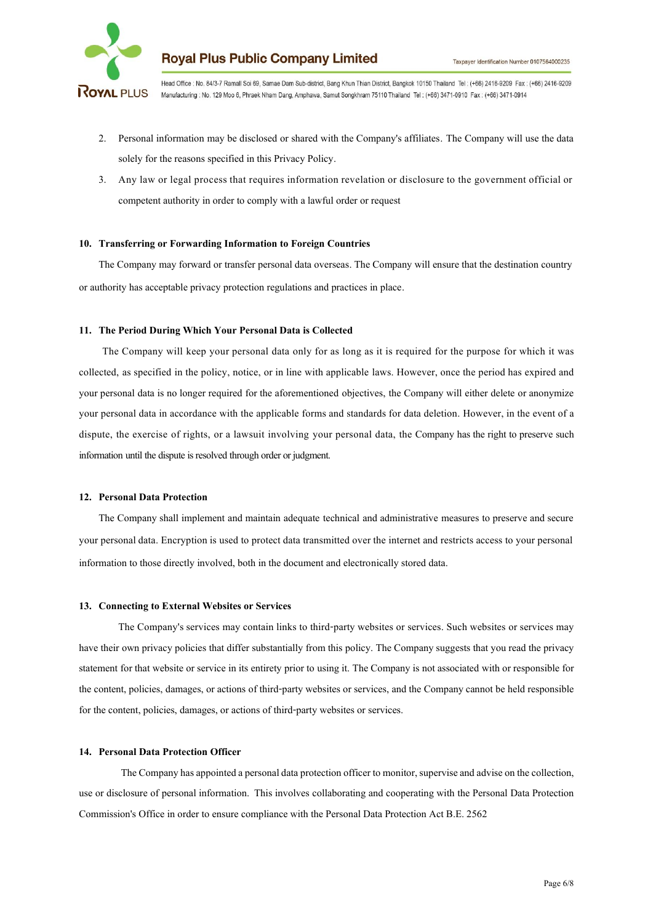

Head Office : No. 84/3-7 Ramall Soi 69, Samae Dam Sub-district, Bang Khun Thian District, Bangkok 10150 Thailand Tel: (+66) 2416-9209 Fax: (+66) 2416-9209 Manufacturing : No. 129 Moo 6, Phraek Nham Dang, Amphawa, Samut Songkhram 75110 Thailand Tel: (+66) 3471-0910 Fax: (+66) 3471-0914

- 2. Personal information may be disclosed or shared with the Company's affiliates. The Company will use the data solely for the reasons specified in this Privacy Policy.
- 3. Any law or legal process that requires information revelation or disclosure to the government official or competent authority in order to comply with a lawful order or request

#### **10. Transferring or Forwarding Information to Foreign Countries**

The Company may forward or transfer personal data overseas. The Company will ensure that the destination country or authority has acceptable privacy protection regulations and practices in place.

#### **11. The Period During Which Your Personal Data is Collected**

The Company will keep your personal data only for as long as it is required for the purpose for which it was collected, as specified in the policy, notice, or in line with applicable laws. However, once the period has expired and your personal data is no longer required for the aforementioned objectives, the Company will either delete or anonymize your personal data in accordance with the applicable forms and standards for data deletion. However, in the event of a dispute, the exercise of rights, or a lawsuit involving your personal data, the Company has the right to preserve such information until the dispute is resolved through order or judgment.

#### **12. Personal Data Protection**

The Company shall implement and maintain adequate technical and administrative measures to preserve and secure your personal data. Encryption is used to protect data transmitted over the internet and restricts access to your personal information to those directly involved, both in the document and electronically stored data.

#### 13. Connecting to External Websites or Services

The Company's services may contain links to third-party websites or services. Such websites or services may have their own privacy policies that differ substantially from this policy. The Company suggests that you read the privacy statement for that website or service in its entirety prior to usingit. The Companyis not associated with or responsible for the content, policies, damages, or actions of third-party websites or services, and the Company cannot be held responsible for the content, policies, damages, or actions of third-party websites or services.

#### **14. Personal Data Protection Officer**

The Company has appointed a personal data protection officer to monitor, supervise and advise on the collection, use or disclosure of personal information. This involves collaborating and cooperating with the Personal Data Protection Commission's Office in order to ensure compliance with the Personal Data Protection Act B.E. 2562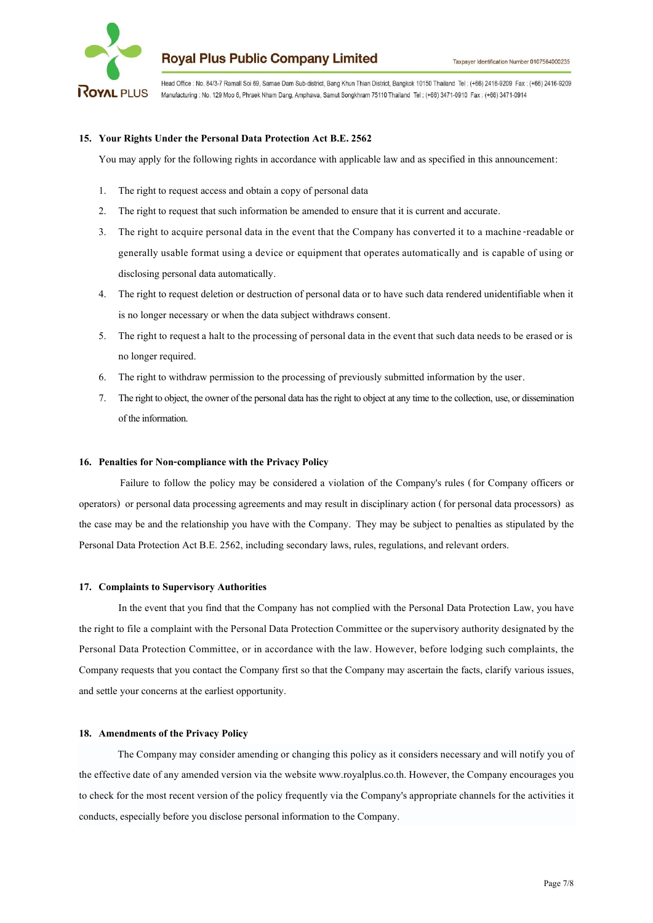

Head Office : No. 84/3-7 Ramall Soi 69, Samae Dam Sub-district, Bang Khun Thian District, Bangkok 10150 Thailand Tel : (+66) 2416-9209 Fax : (+66) 2416-9209 Manufacturing : No. 129 Moo 6, Phraek Nham Dang, Amphawa, Samut Songkhram 75110 Thailand Tel: (+66) 3471-0910 Fax: (+66) 3471-0914

#### **15. Your Rights Under the Personal Data Protection Act B.E.2562**

You may apply for the following rights in accordance with applicable law and as specified in this announcement:

- 1. The right to request access and obtain a copy of personal data
- 2. The right to request that such information be amended to ensure that it is current and accurate.
- 3. The right to acquire personal data in the event that the Company has converted it to a machine-readable or generally usable format using a device or equipment that operates automatically and is capable of using or disclosing personal data automatically.
- 4. The right to request deletion or destruction of personal data or to have such data rendered unidentifiable when it is no longer necessary or when the data subject withdraws consent.
- 5. The right to request a halt to the processing of personal data in the event that such data needs to be erased or is no longer required.
- 6. The right to withdraw permission to the processing of previously submitted information by the user.
- 7. The right to object, the ownerof the personal data has the right to object at any time to the collection, use, or dissemination of the information.

#### 16. Penalties for Non-compliance with the Privacy Policy

Failure to follow the policy may be considered a violation of the Company's rules (for Company officers or operators) or personal data processing agreements and may result in disciplinary action (for personal data processors) as the case may be and the relationship you have with the Company. They may be subject to penalties as stipulated by the Personal Data Protection Act B.E. 2562, including secondary laws, rules, regulations, and relevant orders.

#### 17. Complaints to Supervisory Authorities

In the event that you find that the Company has not complied with the Personal Data Protection Law, you have the right to file a complaint with the Personal Data Protection Committee or the supervisory authority designated by the Personal Data Protection Committee, or in accordance with the law. However, before lodging such complaints, the Company requests that you contact the Company first so that the Company may ascertain the facts, clarify various issues, and settle your concerns at the earliest opportunity.

#### 18. **Amendments of the Privacy Policy**

The Company may consider amending or changing this policy as it considers necessary and will notify you of the effective date of any amended version via the website www.royalplus.co.th. However, the Company encourages you to check for the most recent version of the policy frequently via the Company's appropriate channels for the activities it conducts, especially before you disclose personal information to the Company.